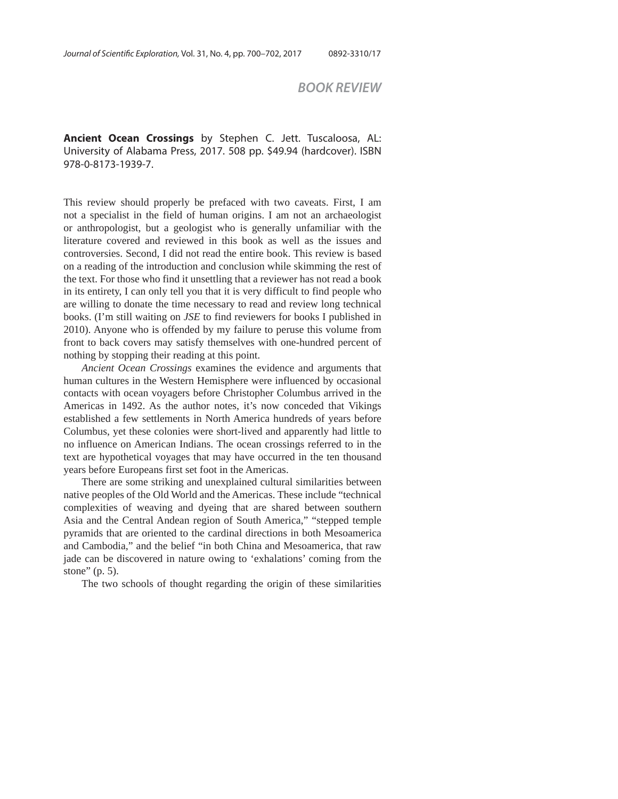## *BOOK REVIEW*

**Ancient Ocean Crossings** by Stephen C. Jett. Tuscaloosa, AL: University of Alabama Press, 2017. 508 pp. \$49.94 (hardcover). ISBN 978-0-8173-1939-7.

This review should properly be prefaced with two caveats. First, I am not a specialist in the field of human origins. I am not an archaeologist or anthropologist, but a geologist who is generally unfamiliar with the literature covered and reviewed in this book as well as the issues and controversies. Second, I did not read the entire book. This review is based on a reading of the introduction and conclusion while skimming the rest of the text. For those who find it unsettling that a reviewer has not read a book in its entirety, I can only tell you that it is very difficult to find people who are willing to donate the time necessary to read and review long technical books. (I'm still waiting on *JSE* to find reviewers for books I published in 2010). Anyone who is offended by my failure to peruse this volume from front to back covers may satisfy themselves with one-hundred percent of nothing by stopping their reading at this point.

*Ancient Ocean Crossings* examines the evidence and arguments that human cultures in the Western Hemisphere were influenced by occasional contacts with ocean voyagers before Christopher Columbus arrived in the Americas in 1492. As the author notes, it's now conceded that Vikings established a few settlements in North America hundreds of years before Columbus, yet these colonies were short-lived and apparently had little to no influence on American Indians. The ocean crossings referred to in the text are hypothetical voyages that may have occurred in the ten thousand years before Europeans first set foot in the Americas.

There are some striking and unexplained cultural similarities between native peoples of the Old World and the Americas. These include "technical complexities of weaving and dyeing that are shared between southern Asia and the Central Andean region of South America," "stepped temple pyramids that are oriented to the cardinal directions in both Mesoamerica and Cambodia," and the belief "in both China and Mesoamerica, that raw jade can be discovered in nature owing to 'exhalations' coming from the stone" (p. 5).

The two schools of thought regarding the origin of these similarities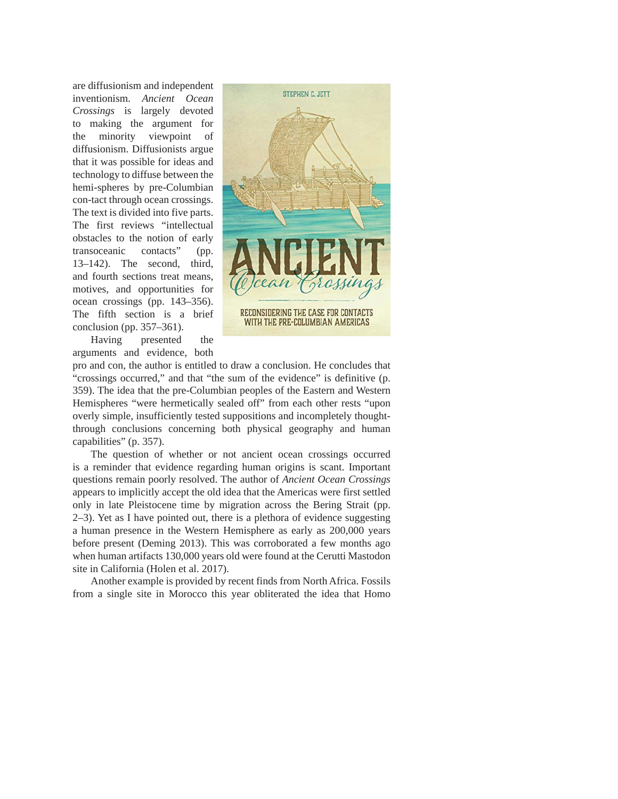are diffusionism and independent inventionism. *Ancient Ocean Crossings* is largely devoted to making the argument for the minority viewpoint of diffusionism. Diffusionists argue that it was possible for ideas and technology to diffuse between the hemi-spheres by pre-Columbian con-tact through ocean crossings. The text is divided into five parts. The first reviews "intellectual obstacles to the notion of early transoceanic contacts" (pp. 13–142). The second, third, and fourth sections treat means, motives, and opportunities for ocean crossings (pp. 143–356). The fifth section is a brief conclusion (pp. 357–361).

Having presented the arguments and evidence, both



pro and con, the author is entitled to draw a conclusion. He concludes that "crossings occurred," and that "the sum of the evidence" is definitive (p. 359). The idea that the pre-Columbian peoples of the Eastern and Western Hemispheres "were hermetically sealed off" from each other rests "upon overly simple, insufficiently tested suppositions and incompletely thoughtthrough conclusions concerning both physical geography and human capabilities" (p. 357).

The question of whether or not ancient ocean crossings occurred is a reminder that evidence regarding human origins is scant. Important questions remain poorly resolved. The author of *Ancient Ocean Crossings* appears to implicitly accept the old idea that the Americas were first settled only in late Pleistocene time by migration across the Bering Strait (pp. 2–3). Yet as I have pointed out, there is a plethora of evidence suggesting a human presence in the Western Hemisphere as early as 200,000 years before present (Deming 2013). This was corroborated a few months ago when human artifacts 130,000 years old were found at the Cerutti Mastodon site in California (Holen et al. 2017).

Another example is provided by recent finds from North Africa. Fossils from a single site in Morocco this year obliterated the idea that Homo